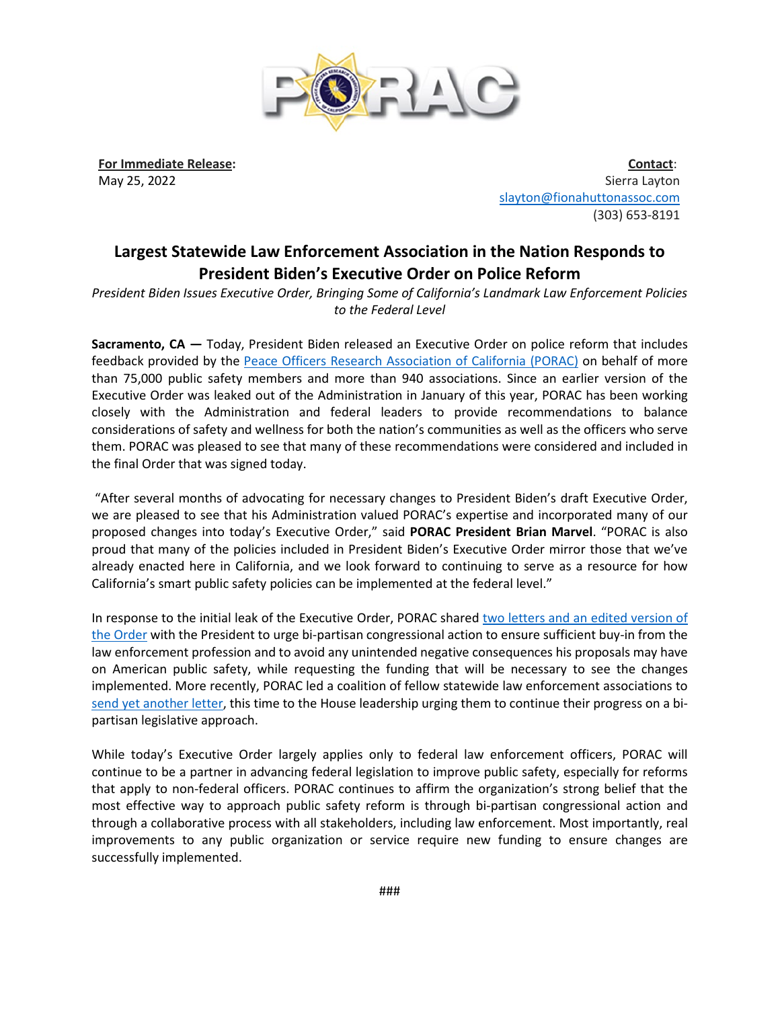

**For Immediate Release:** May 25, 2022

**Contact**: Sierra Layton [slayton@fionahuttonassoc.com](mailto:slayton@fionahuttonassoc.com) (303) 653-8191

## **Largest Statewide Law Enforcement Association in the Nation Responds to President Biden's Executive Order on Police Reform**

*President Biden Issues Executive Order, Bringing Some of California's Landmark Law Enforcement Policies to the Federal Level* 

**Sacramento, CA —** Today, President Biden released an Executive Order on police reform that includes feedback provided by the [Peace Officers Research Association of California \(PORAC\)](https://porac.org/) on behalf of more than 75,000 public safety members and more than 940 associations. Since an earlier version of the Executive Order was leaked out of the Administration in January of this year, PORAC has been working closely with the Administration and federal leaders to provide recommendations to balance considerations of safety and wellness for both the nation's communities as well as the officers who serve them. PORAC was pleased to see that many of these recommendations were considered and included in the final Order that was signed today.

"After several months of advocating for necessary changes to President Biden's draft Executive Order, we are pleased to see that his Administration valued PORAC's expertise and incorporated many of our proposed changes into today's Executive Order," said **PORAC President Brian Marvel**. "PORAC is also proud that many of the policies included in President Biden's Executive Order mirror those that we've already enacted here in California, and we look forward to continuing to serve as a resource for how California's smart public safety policies can be implemented at the federal level."

In response to the initial leak of the Executive Order, PORAC shared [two letters and an edited version of](https://porac.org/wp-content/uploads/Biden-Police-Reform-EO_PORAC-Recommendationsonly_2.15.22.pdf)  [the Order](https://porac.org/wp-content/uploads/Biden-Police-Reform-EO_PORAC-Recommendationsonly_2.15.22.pdf) with the President to urge bi-partisan congressional action to ensure sufficient buy-in from the law enforcement profession and to avoid any unintended negative consequences his proposals may have on American public safety, while requesting the funding that will be necessary to see the changes implemented. More recently, PORAC led a coalition of fellow statewide law enforcement associations to [send yet another letter,](https://porac.org/wp-content/uploads/Letter-to-House-Leadership-on-Police-Reform-Executive-Action.pdf) this time to the House leadership urging them to continue their progress on a bipartisan legislative approach.

While today's Executive Order largely applies only to federal law enforcement officers, PORAC will continue to be a partner in advancing federal legislation to improve public safety, especially for reforms that apply to non-federal officers. PORAC continues to affirm the organization's strong belief that the most effective way to approach public safety reform is through bi-partisan congressional action and through a collaborative process with all stakeholders, including law enforcement. Most importantly, real improvements to any public organization or service require new funding to ensure changes are successfully implemented.